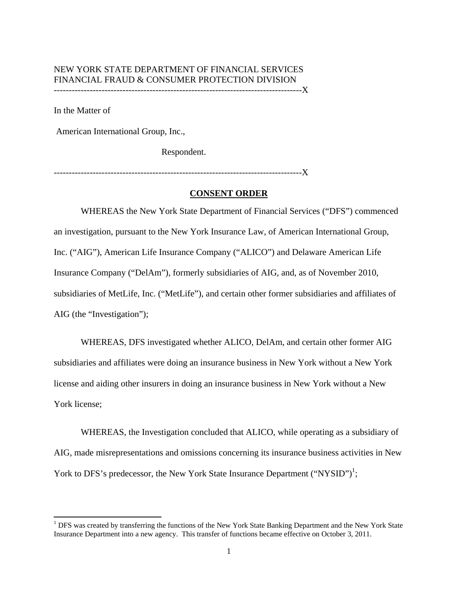### NEW YORK STATE DEPARTMENT OF FINANCIAL SERVICES FINANCIAL FRAUD & CONSUMER PROTECTION DIVISION -----------------------------------------------------------------------------------X

In the Matter of

American International Group, Inc.,

Respondent.

-----------------------------------------------------------------------------------X

# **CONSENT ORDER**

WHEREAS the New York State Department of Financial Services ("DFS") commenced an investigation, pursuant to the New York Insurance Law, of American International Group, Inc. ("AIG"), American Life Insurance Company ("ALICO") and Delaware American Life Insurance Company ("DelAm"), formerly subsidiaries of AIG, and, as of November 2010, subsidiaries of MetLife, Inc. ("MetLife"), and certain other former subsidiaries and affiliates of AIG (the "Investigation");

WHEREAS, DFS investigated whether ALICO, DelAm, and certain other former AIG subsidiaries and affiliates were doing an insurance business in New York without a New York license and aiding other insurers in doing an insurance business in New York without a New York license;

WHEREAS, the Investigation concluded that ALICO, while operating as a subsidiary of AIG, made misrepresentations and omissions concerning its insurance business activities in New York to DFS's predecessor, the New York State Insurance Department ("NYSID")<sup>1</sup>;

 Insurance Department into a new agency. This transfer of functions became effective on October 3, 2011. <sup>1</sup> DFS was created by transferring the functions of the New York State Banking Department and the New York State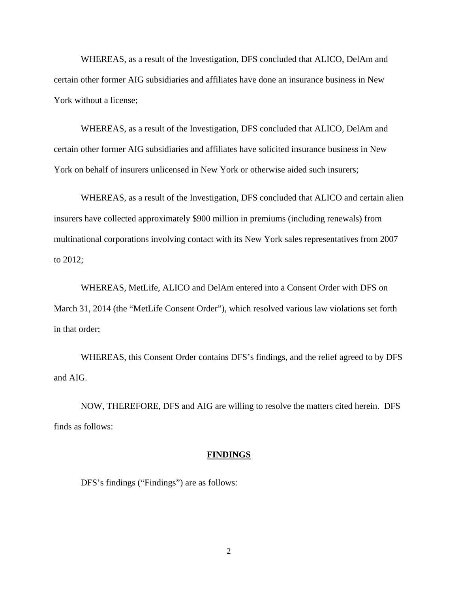WHEREAS, as a result of the Investigation, DFS concluded that ALICO, DelAm and certain other former AIG subsidiaries and affiliates have done an insurance business in New York without a license;

WHEREAS, as a result of the Investigation, DFS concluded that ALICO, DelAm and certain other former AIG subsidiaries and affiliates have solicited insurance business in New York on behalf of insurers unlicensed in New York or otherwise aided such insurers;

WHEREAS, as a result of the Investigation, DFS concluded that ALICO and certain alien insurers have collected approximately \$900 million in premiums (including renewals) from multinational corporations involving contact with its New York sales representatives from 2007 to 2012;

WHEREAS, MetLife, ALICO and DelAm entered into a Consent Order with DFS on March 31, 2014 (the "MetLife Consent Order"), which resolved various law violations set forth in that order;

WHEREAS, this Consent Order contains DFS's findings, and the relief agreed to by DFS and AIG.

NOW, THEREFORE, DFS and AIG are willing to resolve the matters cited herein. DFS finds as follows:

#### **FINDINGS**

DFS's findings ("Findings") are as follows: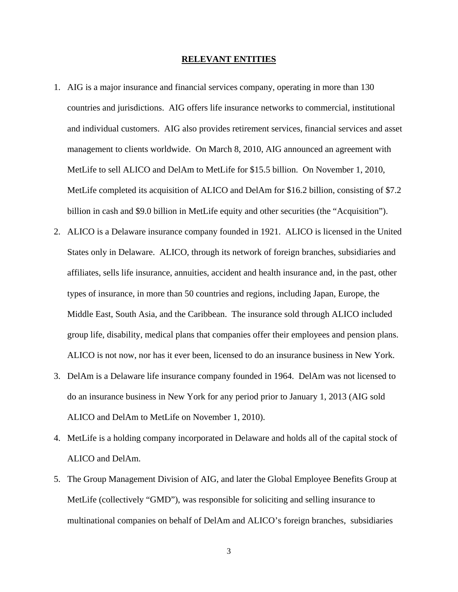#### **RELEVANT ENTITIES**

- 1. AIG is a major insurance and financial services company, operating in more than 130 countries and jurisdictions. AIG offers life insurance networks to commercial, institutional and individual customers. AIG also provides retirement services, financial services and asset management to clients worldwide. On March 8, 2010, AIG announced an agreement with MetLife to sell ALICO and DelAm to MetLife for \$15.5 billion. On November 1, 2010, MetLife completed its acquisition of ALICO and DelAm for \$16.2 billion, consisting of \$7.2 billion in cash and \$9.0 billion in MetLife equity and other securities (the "Acquisition").
- 2. ALICO is a Delaware insurance company founded in 1921. ALICO is licensed in the United States only in Delaware. ALICO, through its network of foreign branches, subsidiaries and affiliates, sells life insurance, annuities, accident and health insurance and, in the past, other types of insurance, in more than 50 countries and regions, including Japan, Europe, the Middle East, South Asia, and the Caribbean. The insurance sold through ALICO included group life, disability, medical plans that companies offer their employees and pension plans. ALICO is not now, nor has it ever been, licensed to do an insurance business in New York.
- 3. DelAm is a Delaware life insurance company founded in 1964. DelAm was not licensed to do an insurance business in New York for any period prior to January 1, 2013 (AIG sold ALICO and DelAm to MetLife on November 1, 2010).
- ALICO and DelAm. 4. MetLife is a holding company incorporated in Delaware and holds all of the capital stock of
- 5. The Group Management Division of AIG, and later the Global Employee Benefits Group at MetLife (collectively "GMD"), was responsible for soliciting and selling insurance to multinational companies on behalf of DelAm and ALICO's foreign branches, subsidiaries

3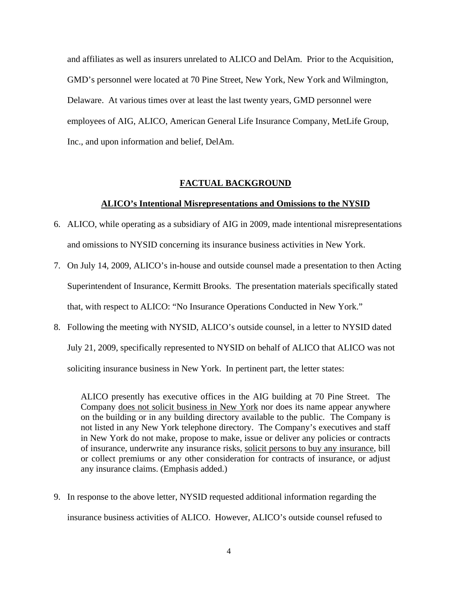and affiliates as well as insurers unrelated to ALICO and DelAm. Prior to the Acquisition, GMD's personnel were located at 70 Pine Street, New York, New York and Wilmington, Delaware. At various times over at least the last twenty years, GMD personnel were employees of AIG, ALICO, American General Life Insurance Company, MetLife Group, Inc., and upon information and belief, DelAm.

#### **FACTUAL BACKGROUND**

### **ALICO's Intentional Misrepresentations and Omissions to the NYSID**

- 6. ALICO, while operating as a subsidiary of AIG in 2009, made intentional misrepresentations and omissions to NYSID concerning its insurance business activities in New York.
- 7. On July 14, 2009, ALICO's in-house and outside counsel made a presentation to then Acting Superintendent of Insurance, Kermitt Brooks. The presentation materials specifically stated that, with respect to ALICO: "No Insurance Operations Conducted in New York."
- 8. Following the meeting with NYSID, ALICO's outside counsel, in a letter to NYSID dated July 21, 2009, specifically represented to NYSID on behalf of ALICO that ALICO was not soliciting insurance business in New York. In pertinent part, the letter states:

ALICO presently has executive offices in the AIG building at 70 Pine Street. The Company does not solicit business in New York nor does its name appear anywhere on the building or in any building directory available to the public. The Company is not listed in any New York telephone directory. The Company's executives and staff in New York do not make, propose to make, issue or deliver any policies or contracts of insurance, underwrite any insurance risks, solicit persons to buy any insurance, bill or collect premiums or any other consideration for contracts of insurance, or adjust any insurance claims. (Emphasis added.)

9. In response to the above letter, NYSID requested additional information regarding the insurance business activities of ALICO. However, ALICO's outside counsel refused to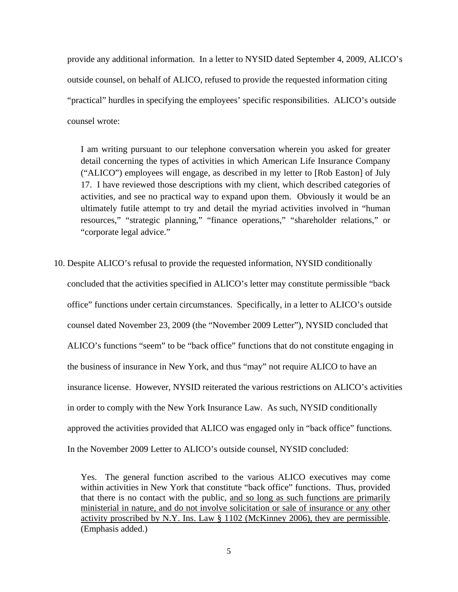provide any additional information. In a letter to NYSID dated September 4, 2009, ALICO's outside counsel, on behalf of ALICO, refused to provide the requested information citing "practical" hurdles in specifying the employees' specific responsibilities. ALICO's outside counsel wrote:

I am writing pursuant to our telephone conversation wherein you asked for greater detail concerning the types of activities in which American Life Insurance Company ("ALICO") employees will engage, as described in my letter to [Rob Easton] of July 17. I have reviewed those descriptions with my client, which described categories of activities, and see no practical way to expand upon them. Obviously it would be an ultimately futile attempt to try and detail the myriad activities involved in "human resources," "strategic planning," "finance operations," "shareholder relations," or "corporate legal advice."

10. Despite ALICO's refusal to provide the requested information, NYSID conditionally concluded that the activities specified in ALICO's letter may constitute permissible "back office" functions under certain circumstances. Specifically, in a letter to ALICO's outside counsel dated November 23, 2009 (the "November 2009 Letter"), NYSID concluded that ALICO's functions "seem" to be "back office" functions that do not constitute engaging in the business of insurance in New York, and thus "may" not require ALICO to have an insurance license. However, NYSID reiterated the various restrictions on ALICO's activities in order to comply with the New York Insurance Law. As such, NYSID conditionally approved the activities provided that ALICO was engaged only in "back office" functions. In the November 2009 Letter to ALICO's outside counsel, NYSID concluded:

Yes. The general function ascribed to the various ALICO executives may come within activities in New York that constitute "back office" functions. Thus, provided that there is no contact with the public, and so long as such functions are primarily ministerial in nature, and do not involve solicitation or sale of insurance or any other activity proscribed by N.Y. Ins. Law § 1102 (McKinney 2006), they are permissible. (Emphasis added.)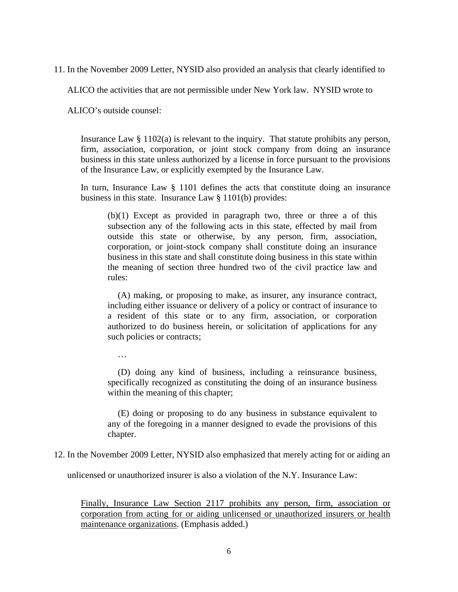11. In the November 2009 Letter, NYSID also provided an analysis that clearly identified to

ALICO the activities that are not permissible under New York law. NYSID wrote to

ALICO's outside counsel:

Insurance Law § 1102(a) is relevant to the inquiry. That statute prohibits any person, firm, association, corporation, or joint stock company from doing an insurance business in this state unless authorized by a license in force pursuant to the provisions of the Insurance Law, or explicitly exempted by the Insurance Law.

In turn, Insurance Law § 1101 defines the acts that constitute doing an insurance business in this state. Insurance Law § 1101(b) provides:

(b)(1) Except as provided in paragraph two, three or three a of this subsection any of the following acts in this state, effected by mail from outside this state or otherwise, by any person, firm, association, corporation, or joint-stock company shall constitute doing an insurance business in this state and shall constitute doing business in this state within the meaning of section three hundred two of the civil practice law and rules:

(A) making, or proposing to make, as insurer, any insurance contract, including either issuance or delivery of a policy or contract of insurance to a resident of this state or to any firm, association, or corporation authorized to do business herein, or solicitation of applications for any such policies or contracts;

 $\mathbb{R}^2$ 

(D) doing any kind of business, including a reinsurance business, specifically recognized as constituting the doing of an insurance business within the meaning of this chapter;

(E) doing or proposing to do any business in substance equivalent to any of the foregoing in a manner designed to evade the provisions of this chapter.

12. In the November 2009 Letter, NYSID also emphasized that merely acting for or aiding an

unlicensed or unauthorized insurer is also a violation of the N.Y. Insurance Law:

Finally, Insurance Law Section 2117 prohibits any person, firm, association or corporation from acting for or aiding unlicensed or unauthorized insurers or health maintenance organizations. (Emphasis added.)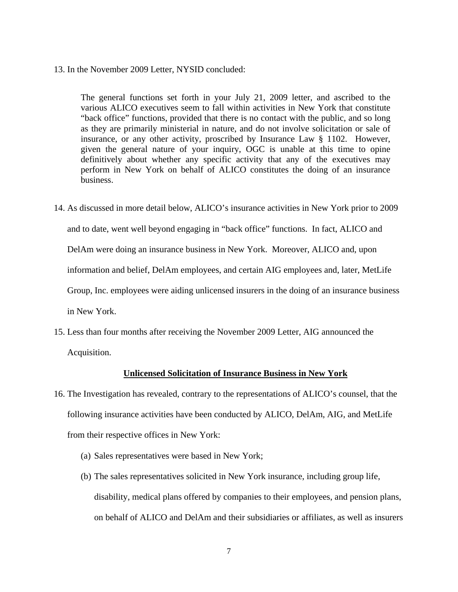### 13. In the November 2009 Letter, NYSID concluded:

The general functions set forth in your July 21, 2009 letter, and ascribed to the various ALICO executives seem to fall within activities in New York that constitute "back office" functions, provided that there is no contact with the public, and so long as they are primarily ministerial in nature, and do not involve solicitation or sale of insurance, or any other activity, proscribed by Insurance Law § 1102. However, given the general nature of your inquiry, OGC is unable at this time to opine definitively about whether any specific activity that any of the executives may perform in New York on behalf of ALICO constitutes the doing of an insurance business.

- 14. As discussed in more detail below, ALICO's insurance activities in New York prior to 2009 and to date, went well beyond engaging in "back office" functions. In fact, ALICO and DelAm were doing an insurance business in New York. Moreover, ALICO and, upon information and belief, DelAm employees, and certain AIG employees and, later, MetLife Group, Inc. employees were aiding unlicensed insurers in the doing of an insurance business in New York.
- 15. Less than four months after receiving the November 2009 Letter, AIG announced the Acquisition.

### **Unlicensed Solicitation of Insurance Business in New York**

- 16. The Investigation has revealed, contrary to the representations of ALICO's counsel, that the following insurance activities have been conducted by ALICO, DelAm, AIG, and MetLife from their respective offices in New York:
	- (a) Sales representatives were based in New York;
	- (b) The sales representatives solicited in New York insurance, including group life, disability, medical plans offered by companies to their employees, and pension plans, on behalf of ALICO and DelAm and their subsidiaries or affiliates, as well as insurers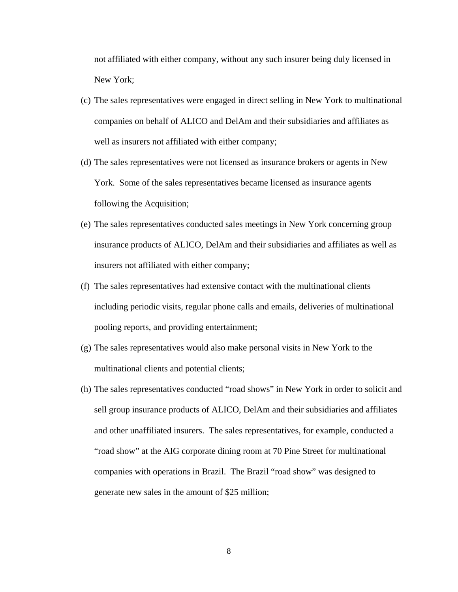not affiliated with either company, without any such insurer being duly licensed in New York;

- (c) The sales representatives were engaged in direct selling in New York to multinational companies on behalf of ALICO and DelAm and their subsidiaries and affiliates as well as insurers not affiliated with either company;
- (d) The sales representatives were not licensed as insurance brokers or agents in New York. Some of the sales representatives became licensed as insurance agents following the Acquisition;
- (e) The sales representatives conducted sales meetings in New York concerning group insurance products of ALICO, DelAm and their subsidiaries and affiliates as well as insurers not affiliated with either company;
- (f) The sales representatives had extensive contact with the multinational clients including periodic visits, regular phone calls and emails, deliveries of multinational pooling reports, and providing entertainment;
- (g) The sales representatives would also make personal visits in New York to the multinational clients and potential clients;
- generate new sales in the amount of \$25 million;<br> $8$ (h) The sales representatives conducted "road shows" in New York in order to solicit and sell group insurance products of ALICO, DelAm and their subsidiaries and affiliates and other unaffiliated insurers. The sales representatives, for example, conducted a "road show" at the AIG corporate dining room at 70 Pine Street for multinational companies with operations in Brazil. The Brazil "road show" was designed to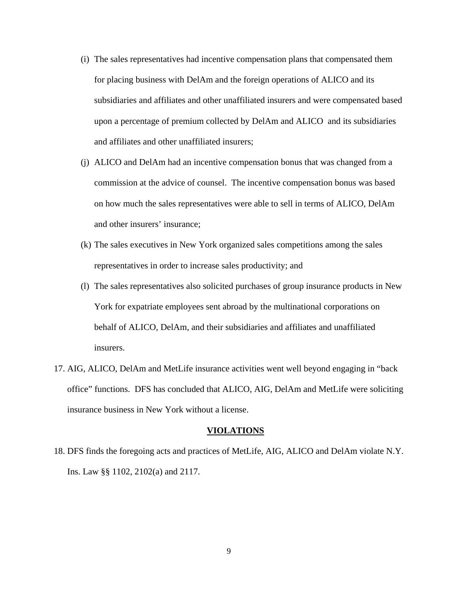- (i) The sales representatives had incentive compensation plans that compensated them for placing business with DelAm and the foreign operations of ALICO and its subsidiaries and affiliates and other unaffiliated insurers and were compensated based upon a percentage of premium collected by DelAm and ALICO and its subsidiaries and affiliates and other unaffiliated insurers;
- (j) ALICO and DelAm had an incentive compensation bonus that was changed from a commission at the advice of counsel. The incentive compensation bonus was based on how much the sales representatives were able to sell in terms of ALICO, DelAm and other insurers' insurance;
- (k) The sales executives in New York organized sales competitions among the sales representatives in order to increase sales productivity; and
- (l) The sales representatives also solicited purchases of group insurance products in New York for expatriate employees sent abroad by the multinational corporations on behalf of ALICO, DelAm, and their subsidiaries and affiliates and unaffiliated insurers.
- 17. AIG, ALICO, DelAm and MetLife insurance activities went well beyond engaging in "back office" functions. DFS has concluded that ALICO, AIG, DelAm and MetLife were soliciting insurance business in New York without a license.

#### **VIOLATIONS**

18. DFS finds the foregoing acts and practices of MetLife, AIG, ALICO and DelAm violate N.Y. Ins. Law §§ 1102, 2102(a) and 2117.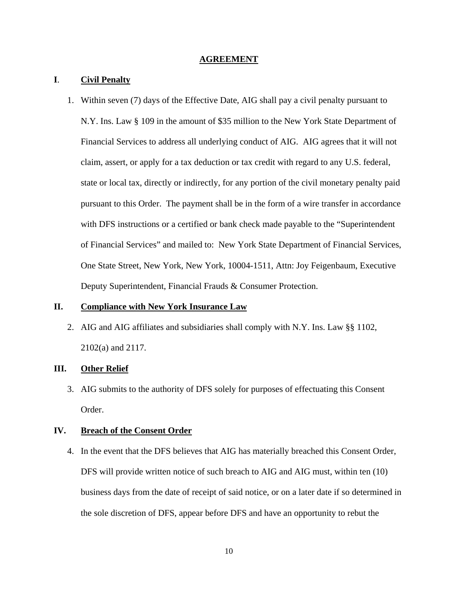#### **AGREEMENT**

### **I**. **Civil Penalty**

1. Within seven (7) days of the Effective Date, AIG shall pay a civil penalty pursuant to N.Y. Ins. Law § 109 in the amount of \$35 million to the New York State Department of Financial Services to address all underlying conduct of AIG. AIG agrees that it will not claim, assert, or apply for a tax deduction or tax credit with regard to any U.S. federal, state or local tax, directly or indirectly, for any portion of the civil monetary penalty paid pursuant to this Order. The payment shall be in the form of a wire transfer in accordance with DFS instructions or a certified or bank check made payable to the "Superintendent of Financial Services" and mailed to: New York State Department of Financial Services, One State Street, New York, New York, 10004-1511, Attn: Joy Feigenbaum, Executive Deputy Superintendent, Financial Frauds & Consumer Protection.

### **II. Compliance with New York Insurance Law**

2. AIG and AIG affiliates and subsidiaries shall comply with N.Y. Ins. Law §§ 1102, 2102(a) and 2117.

# **III. Other Relief**

3. AIG submits to the authority of DFS solely for purposes of effectuating this Consent Order.

### **IV. Breach of the Consent Order**

4. In the event that the DFS believes that AIG has materially breached this Consent Order, DFS will provide written notice of such breach to AIG and AIG must, within ten (10) business days from the date of receipt of said notice, or on a later date if so determined in the sole discretion of DFS, appear before DFS and have an opportunity to rebut the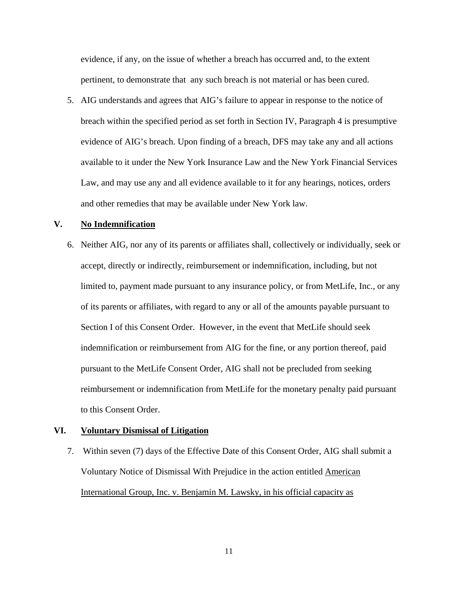evidence, if any, on the issue of whether a breach has occurred and, to the extent pertinent, to demonstrate that any such breach is not material or has been cured.

5. AIG understands and agrees that AIG's failure to appear in response to the notice of breach within the specified period as set forth in Section IV, Paragraph 4 is presumptive evidence of AIG's breach. Upon finding of a breach, DFS may take any and all actions available to it under the New York Insurance Law and the New York Financial Services Law, and may use any and all evidence available to it for any hearings, notices, orders and other remedies that may be available under New York law.

# **V. No Indemnification**

6. Neither AIG, nor any of its parents or affiliates shall, collectively or individually, seek or accept, directly or indirectly, reimbursement or indemnification, including, but not limited to, payment made pursuant to any insurance policy, or from MetLife, Inc., or any of its parents or affiliates, with regard to any or all of the amounts payable pursuant to Section I of this Consent Order. However, in the event that MetLife should seek indemnification or reimbursement from AIG for the fine, or any portion thereof, paid pursuant to the MetLife Consent Order, AIG shall not be precluded from seeking reimbursement or indemnification from MetLife for the monetary penalty paid pursuant to this Consent Order.

#### **VI. Voluntary Dismissal of Litigation**

7. Within seven (7) days of the Effective Date of this Consent Order, AIG shall submit a Voluntary Notice of Dismissal With Prejudice in the action entitled American International Group, Inc. v. Benjamin M. Lawsky, in his official capacity as

11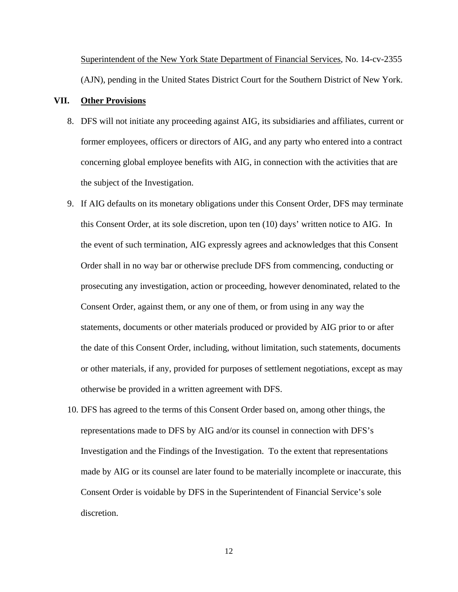Superintendent of the New York State Department of Financial Services, No. 14-cv-2355 (AJN), pending in the United States District Court for the Southern District of New York.

### **VII. Other Provisions**

- 8. DFS will not initiate any proceeding against AIG, its subsidiaries and affiliates, current or former employees, officers or directors of AIG, and any party who entered into a contract concerning global employee benefits with AIG, in connection with the activities that are the subject of the Investigation.
- 9. If AIG defaults on its monetary obligations under this Consent Order, DFS may terminate this Consent Order, at its sole discretion, upon ten (10) days' written notice to AIG. In the event of such termination, AIG expressly agrees and acknowledges that this Consent Order shall in no way bar or otherwise preclude DFS from commencing, conducting or prosecuting any investigation, action or proceeding, however denominated, related to the Consent Order, against them, or any one of them, or from using in any way the statements, documents or other materials produced or provided by AIG prior to or after the date of this Consent Order, including, without limitation, such statements, documents or other materials, if any, provided for purposes of settlement negotiations, except as may otherwise be provided in a written agreement with DFS.
- 10. DFS has agreed to the terms of this Consent Order based on, among other things, the representations made to DFS by AIG and/or its counsel in connection with DFS's Investigation and the Findings of the Investigation. To the extent that representations made by AIG or its counsel are later found to be materially incomplete or inaccurate, this Consent Order is voidable by DFS in the Superintendent of Financial Service's sole discretion.

12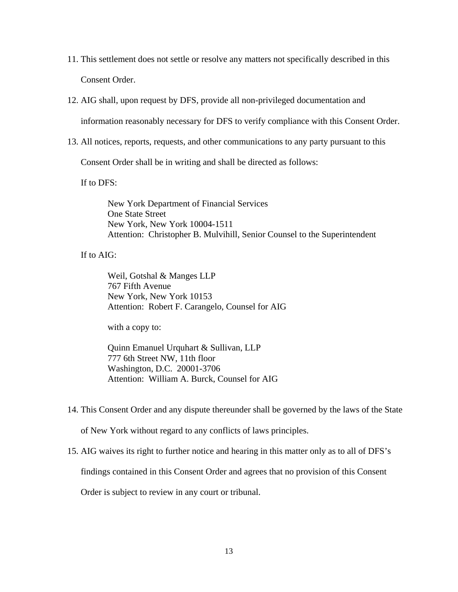- 11. This settlement does not settle or resolve any matters not specifically described in this Consent Order.
- 12. AIG shall, upon request by DFS, provide all non-privileged documentation and

information reasonably necessary for DFS to verify compliance with this Consent Order.

13. All notices, reports, requests, and other communications to any party pursuant to this

Consent Order shall be in writing and shall be directed as follows:

If to DFS:

New York Department of Financial Services One State Street New York, New York 10004-1511 Attention: Christopher B. Mulvihill, Senior Counsel to the Superintendent

If to AIG:

Weil, Gotshal & Manges LLP 767 Fifth Avenue New York, New York 10153 Attention: Robert F. Carangelo, Counsel for AIG

with a copy to:

Quinn Emanuel Urquhart & Sullivan, LLP 777 6th Street NW, 11th floor Washington, D.C. 20001-3706 Attention: William A. Burck, Counsel for AIG

14. This Consent Order and any dispute thereunder shall be governed by the laws of the State

of New York without regard to any conflicts of laws principles.

15. AIG waives its right to further notice and hearing in this matter only as to all of DFS's

findings contained in this Consent Order and agrees that no provision of this Consent

Order is subject to review in any court or tribunal.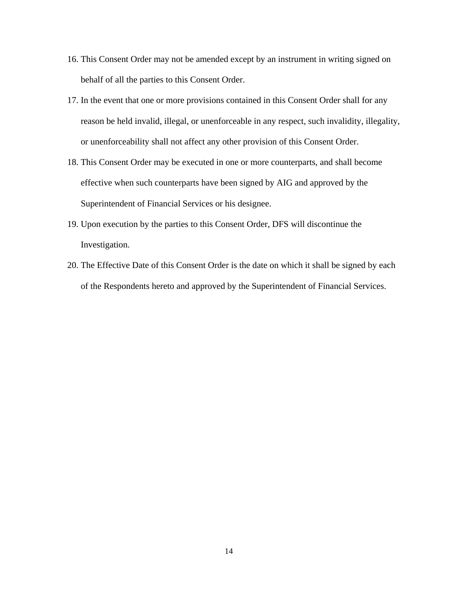- 16. This Consent Order may not be amended except by an instrument in writing signed on behalf of all the parties to this Consent Order.
- 17. In the event that one or more provisions contained in this Consent Order shall for any reason be held invalid, illegal, or unenforceable in any respect, such invalidity, illegality, or unenforceability shall not affect any other provision of this Consent Order.
- 18. This Consent Order may be executed in one or more counterparts, and shall become effective when such counterparts have been signed by AIG and approved by the Superintendent of Financial Services or his designee.
- 19. Upon execution by the parties to this Consent Order, DFS will discontinue the Investigation.
- 20. The Effective Date of this Consent Order is the date on which it shall be signed by each of the Respondents hereto and approved by the Superintendent of Financial Services.